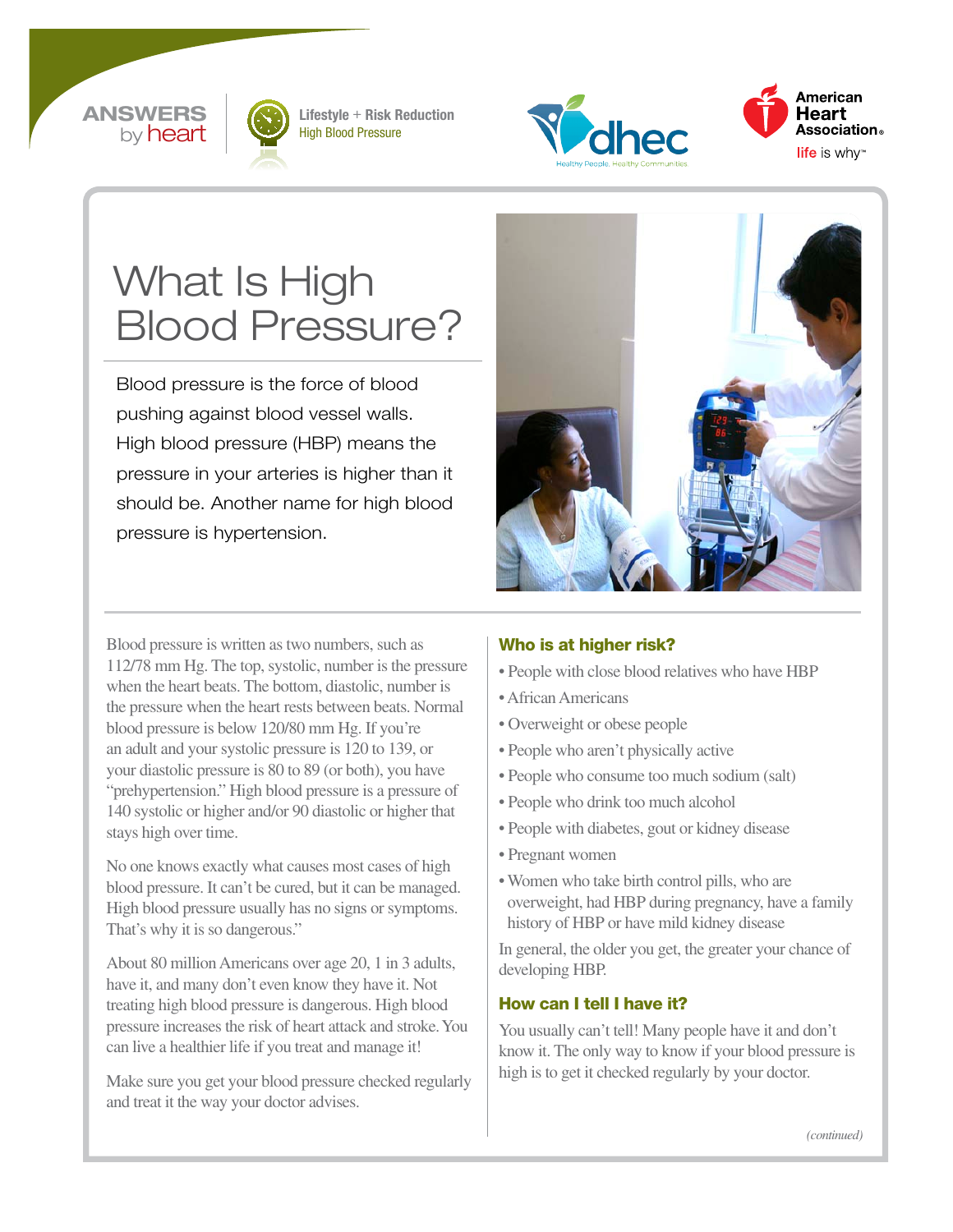#### **ANSWERS** by **heart**



Lifestyle + Risk Reduction High Blood Pressure





# What Is High Blood Pressure?

Blood pressure is the force of blood pushing against blood vessel walls. High blood pressure (HBP) means the pressure in your arteries is higher than it should be. Another name for high blood pressure is hypertension.



Blood pressure is written as two numbers, such as 112/78 mm Hg. The top, systolic, number is the pressure when the heart beats. The bottom, diastolic, number is the pressure when the heart rests between beats. Normal blood pressure is below 120/80 mm Hg. If you're an adult and your systolic pressure is 120 to 139, or your diastolic pressure is 80 to 89 (or both), you have "prehypertension." High blood pressure is a pressure of 140 systolic or higher and/or 90 diastolic or higher that stays high over time.

No one knows exactly what causes most cases of high blood pressure. It can't be cured, but it can be managed. High blood pressure usually has no signs or symptoms. That's why it is so dangerous."

About 80 million Americans over age 20, 1 in 3 adults, have it, and many don't even know they have it. Not treating high blood pressure is dangerous. High blood pressure increases the risk of heart attack and stroke. You can live a healthier life if you treat and manage it!

Make sure you get your blood pressure checked regularly and treat it the way your doctor advises.

#### Who is at higher risk?

- People with close blood relatives who have HBP
- African Americans
- Overweight or obese people
- People who aren't physically active
- People who consume too much sodium (salt)
- People who drink too much alcohol
- People with diabetes, gout or kidney disease
- Pregnant women
- Women who take birth control pills, who are overweight, had HBP during pregnancy, have a family history of HBP or have mild kidney disease

In general, the older you get, the greater your chance of developing HBP.

#### How can I tell I have it?

You usually can't tell! Many people have it and don't know it. The only way to know if your blood pressure is high is to get it checked regularly by your doctor.